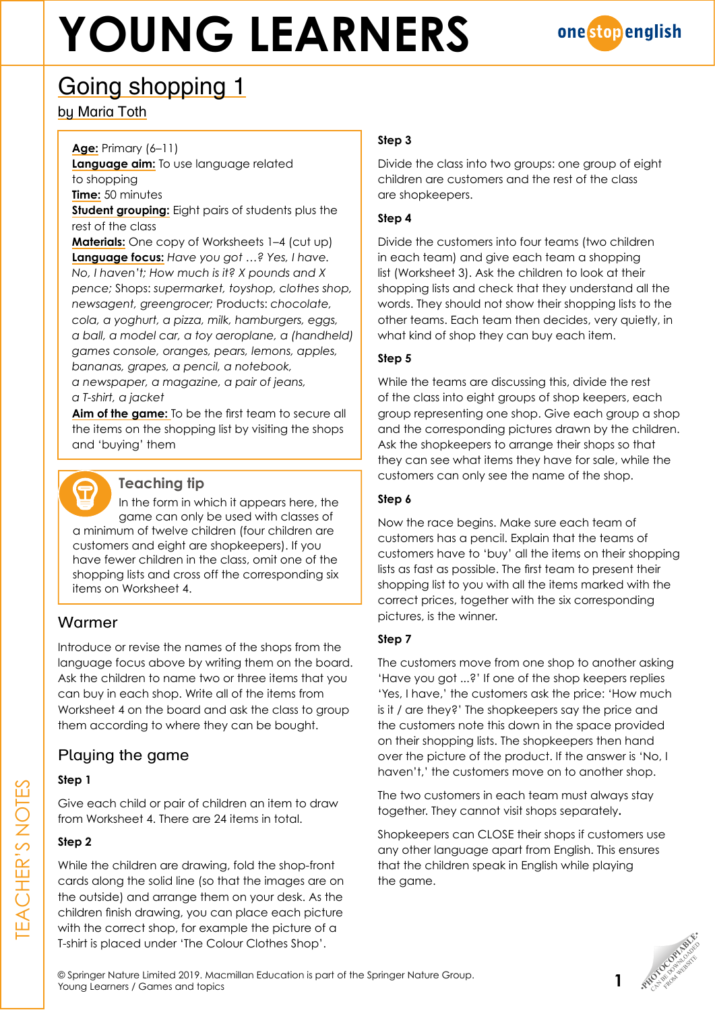

## Going shopping 1

by Maria Toth

### **Age:** Primary (6–11)

**Language aim:** To use language related to shopping

**Time:** 50 minutes

**Student grouping:** Eight pairs of students plus the rest of the class

**Materials:** One copy of Worksheets 1–4 (cut up) **Language focus:** *Have you got …? Yes, I have. No, I haven't; How much is it? X pounds and X pence;* Shops: *supermarket, toyshop, clothes shop, newsagent, greengrocer;* Products: *chocolate, cola, a yoghurt, a pizza, milk, hamburgers, eggs, a ball, a model car, a toy aeroplane, a (handheld) games console, oranges, pears, lemons, apples, bananas, grapes, a pencil, a notebook, a newspaper, a magazine, a pair of jeans, a T-shirt, a jacket*

**Aim of the game:** To be the first team to secure all the items on the shopping list by visiting the shops and 'buying' them



## **Teaching tip**

In the form in which it appears here, the game can only be used with classes of a minimum of twelve children (four children are customers and eight are shopkeepers). If you have fewer children in the class, omit one of the shopping lists and cross off the corresponding six items on Worksheet 4.

## Warmer

Introduce or revise the names of the shops from the language focus above by writing them on the board. Ask the children to name two or three items that you can buy in each shop. Write all of the items from Worksheet 4 on the board and ask the class to group them according to where they can be bought.

## Playing the game

## **Step 1**

Give each child or pair of children an item to draw from Worksheet 4. There are 24 items in total.

## **Step 2**

While the children are drawing, fold the shop-front cards along the solid line (so that the images are on the outside) and arrange them on your desk. As the children finish drawing, you can place each picture with the correct shop, for example the picture of a T-shirt is placed under 'The Colour Clothes Shop'.

## **Step 3**

Divide the class into two groups: one group of eight children are customers and the rest of the class are shopkeepers.

## **Step 4**

Divide the customers into four teams (two children in each team) and give each team a shopping list (Worksheet 3). Ask the children to look at their shopping lists and check that they understand all the words. They should not show their shopping lists to the other teams. Each team then decides, very quietly, in what kind of shop they can buy each item.

## **Step 5**

While the teams are discussing this, divide the rest of the class into eight groups of shop keepers, each group representing one shop. Give each group a shop and the corresponding pictures drawn by the children. Ask the shopkeepers to arrange their shops so that they can see what items they have for sale, while the customers can only see the name of the shop.

## **Step 6**

Now the race begins. Make sure each team of customers has a pencil. Explain that the teams of customers have to 'buy' all the items on their shopping lists as fast as possible. The first team to present their shopping list to you with all the items marked with the correct prices, together with the six corresponding pictures, is the winner.

## **Step 7**

The customers move from one shop to another asking 'Have you got ...?' If one of the shop keepers replies 'Yes, I have,' the customers ask the price: 'How much is it / are they?' The shopkeepers say the price and the customers note this down in the space provided on their shopping lists. The shopkeepers then hand over the picture of the product. If the answer is 'No, I haven't,' the customers move on to another shop.

The two customers in each team must always stay together. They cannot visit shops separately**.**

Shopkeepers can CLOSE their shops if customers use any other language apart from English. This ensures that the children speak in English while playing the game.

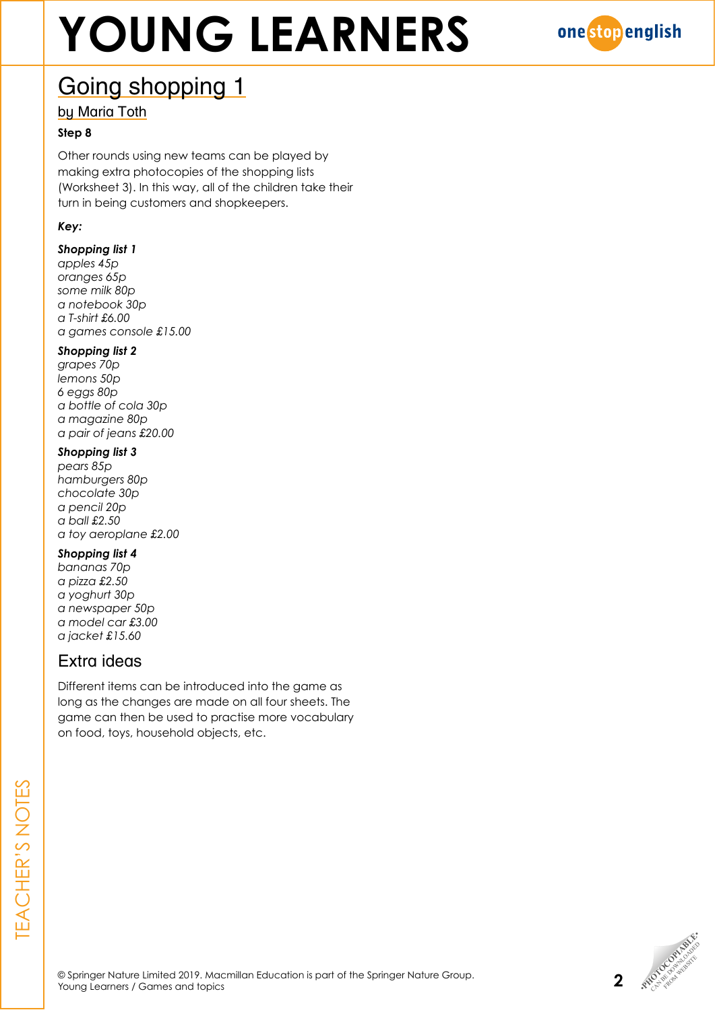

## Going shopping 1

by Maria Toth

### **Step 8**

Other rounds using new teams can be played by making extra photocopies of the shopping lists (Worksheet 3). In this way, all of the children take their turn in being customers and shopkeepers.

## *Key:*

## *Shopping list 1*

*apples 45p oranges 65p some milk 80p a notebook 30p a T-shirt £6.00 a games console £15.00*

### *Shopping list 2*

*grapes 70p lemons 50p 6 eggs 80p a bottle of cola 30p a magazine 80p a pair of jeans £20.00*

#### *Shopping list 3*

*pears 85p hamburgers 80p chocolate 30p a pencil 20p a ball £2.50 a toy aeroplane £2.00*

### *Shopping list 4*

*bananas 70p a pizza £2.50 a yoghurt 30p a newspaper 50p a model car £3.00 a jacket £15.60*

## Extra ideas

Different items can be introduced into the game as long as the changes are made on all four sheets. The game can then be used to practise more vocabulary on food, toys, household objects, etc.

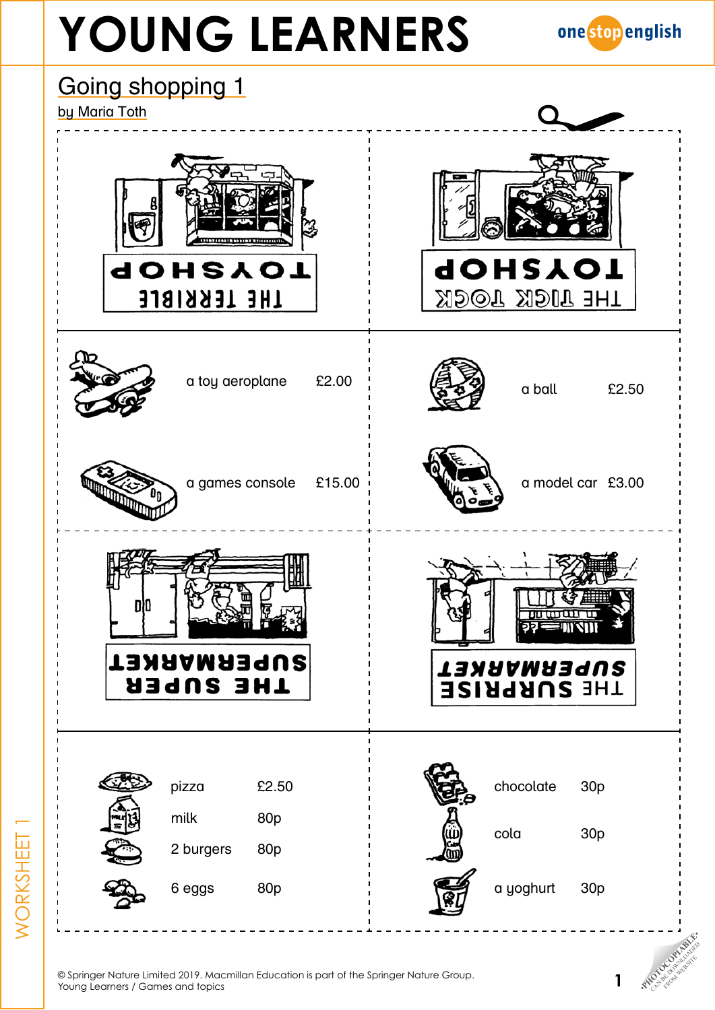



© Springer Nature Limited 2019. Macmillan Education is part of the Springer Nature Group.

WORKSHEET 1

NORKSHEET

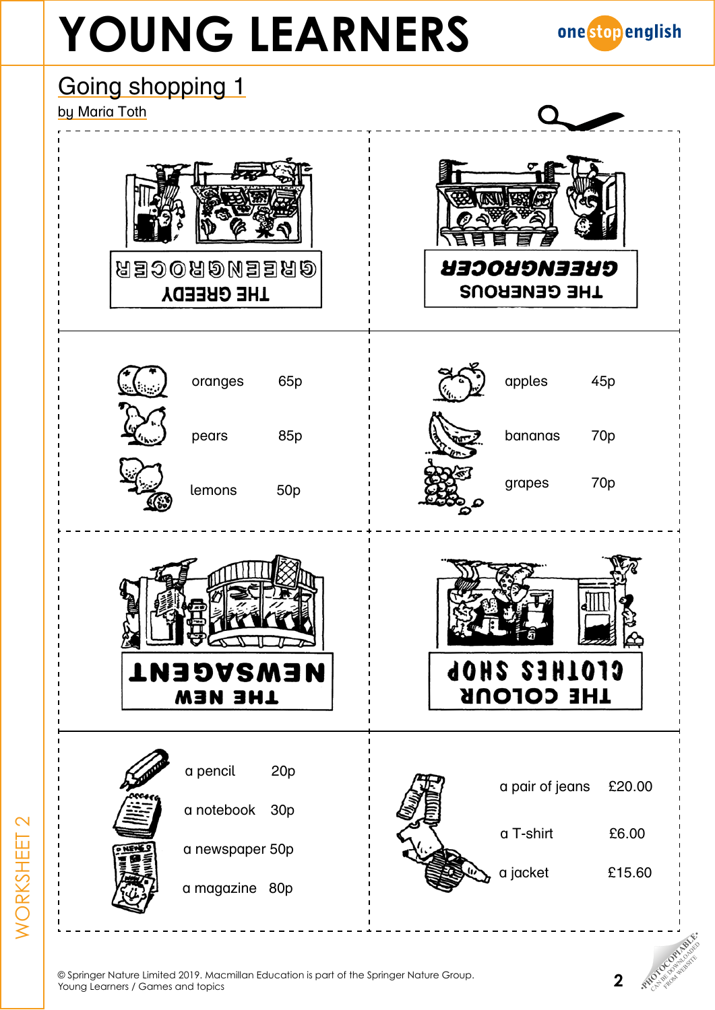



© Springer Nature Limited 2019. Macmillan Education is part of the Springer Nature Group.

WORKSHEET 2

**NORKSHEET 2** 

FROM WEBSITE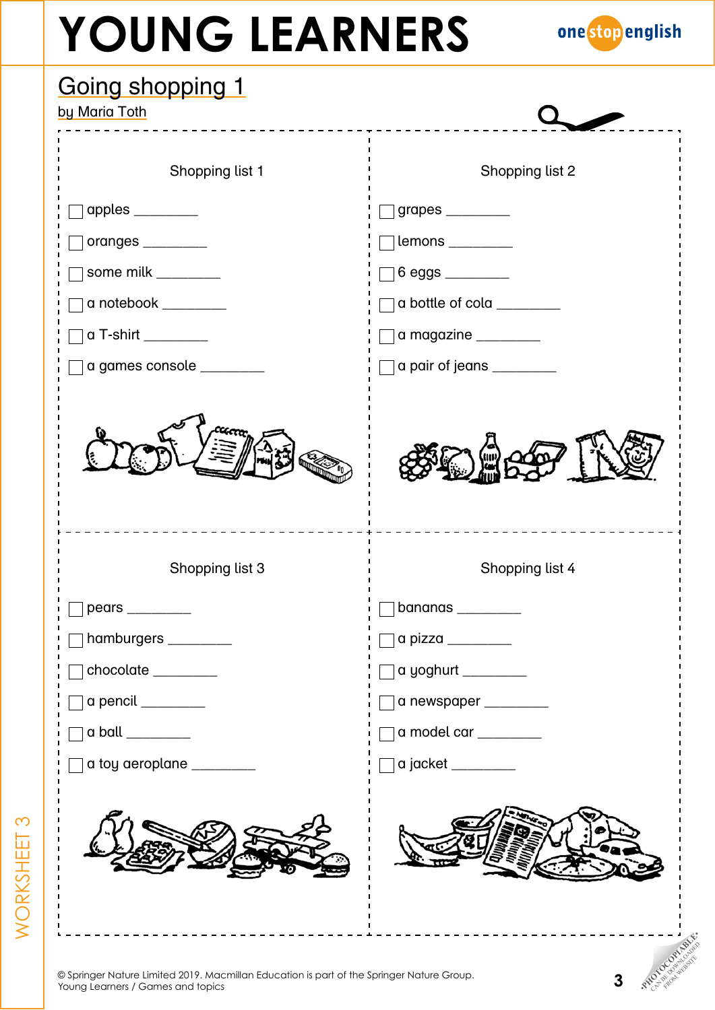

| Shopping list 2                                           |
|-----------------------------------------------------------|
| $\Box$ grapes ________                                    |
| $\Box$ lemons _________                                   |
|                                                           |
| a bottle of cola _________                                |
| a magazine ________                                       |
| a pair of jeans ________                                  |
| Shopping list 4                                           |
| bananas                                                   |
| $\alpha$ pizza $\_\_\_\_\_\_\_\_\_\_\_\_\_\_\_\_\_\_\_\_$ |
| a yoghurt ________                                        |
| a newspaper ________                                      |
| a model car ________                                      |
| a jacket _________                                        |
|                                                           |
|                                                           |

WORKSHEET 3

WORKSHEET 3